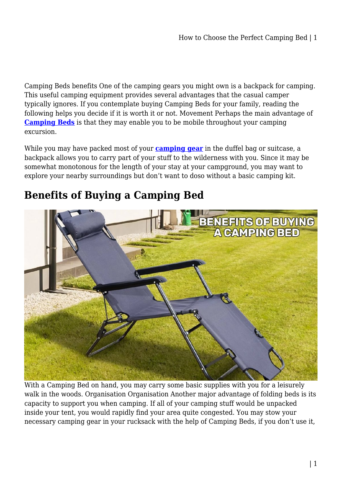Camping Beds benefits One of the camping gears you might own is a backpack for camping. This useful camping equipment provides several advantages that the casual camper typically ignores. If you contemplate buying Camping Beds for your family, reading the following helps you decide if it is worth it or not. Movement Perhaps the main advantage of **[Camping Beds](https://shopystore.com.au/camping-gear/camping-beds/)** is that they may enable you to be mobile throughout your camping excursion.

While you may have packed most of your **[camping gear](https://shopystore.com.au/camping-gear/)** in the duffel bag or suitcase, a backpack allows you to carry part of your stuff to the wilderness with you. Since it may be somewhat monotonous for the length of your stay at your campground, you may want to explore your nearby surroundings but don't want to doso without a basic camping kit.

## **Benefits of Buying a Camping Bed**



With a Camping Bed on hand, you may carry some basic supplies with you for a leisurely walk in the woods. Organisation Organisation Another major advantage of folding beds is its capacity to support you when camping. If all of your camping stuff would be unpacked inside your tent, you would rapidly find your area quite congested. You may stow your necessary camping gear in your rucksack with the help of Camping Beds, if you don't use it,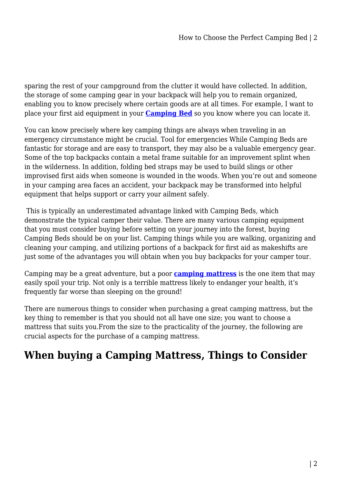sparing the rest of your campground from the clutter it would have collected. In addition, the storage of some camping gear in your backpack will help you to remain organized, enabling you to know precisely where certain goods are at all times. For example, I want to place your first aid equipment in your **[Camping Bed](https://shopystore.com.au/camping-gear/camping-beds/)** so you know where you can locate it.

You can know precisely where key camping things are always when traveling in an emergency circumstance might be crucial. Tool for emergencies While Camping Beds are fantastic for storage and are easy to transport, they may also be a valuable emergency gear. Some of the top backpacks contain a metal frame suitable for an improvement splint when in the wilderness. In addition, folding bed straps may be used to build slings or other improvised first aids when someone is wounded in the woods. When you're out and someone in your camping area faces an accident, your backpack may be transformed into helpful equipment that helps support or carry your ailment safely.

 This is typically an underestimated advantage linked with Camping Beds, which demonstrate the typical camper their value. There are many various camping equipment that you must consider buying before setting on your journey into the forest, buying Camping Beds should be on your list. Camping things while you are walking, organizing and cleaning your camping, and utilizing portions of a backpack for first aid as makeshifts are just some of the advantages you will obtain when you buy backpacks for your camper tour.

Camping may be a great adventure, but a poor **[camping mattress](https://shopystore.com.au/camping-gear/inflatable-mattress-camping/)** is the one item that may easily spoil your trip. Not only is a terrible mattress likely to endanger your health, it's frequently far worse than sleeping on the ground!

There are numerous things to consider when purchasing a great camping mattress, but the key thing to remember is that you should not all have one size; you want to choose a mattress that suits you.From the size to the practicality of the journey, the following are crucial aspects for the purchase of a camping mattress.

## **When buying a Camping Mattress, Things to Consider**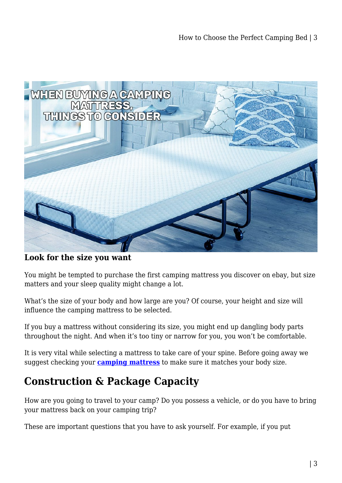

**Look for the size you want**

You might be tempted to purchase the first camping mattress you discover on ebay, but size matters and your sleep quality might change a lot.

What's the size of your body and how large are you? Of course, your height and size will influence the camping mattress to be selected.

If you buy a mattress without considering its size, you might end up dangling body parts throughout the night. And when it's too tiny or narrow for you, you won't be comfortable.

It is very vital while selecting a mattress to take care of your spine. Before going away we suggest checking your **[camping mattress](https://shopystore.com.au/camping-gear/inflatable-mattress-camping/)** to make sure it matches your body size.

## **Construction & Package Capacity**

How are you going to travel to your camp? Do you possess a vehicle, or do you have to bring your mattress back on your camping trip?

These are important questions that you have to ask yourself. For example, if you put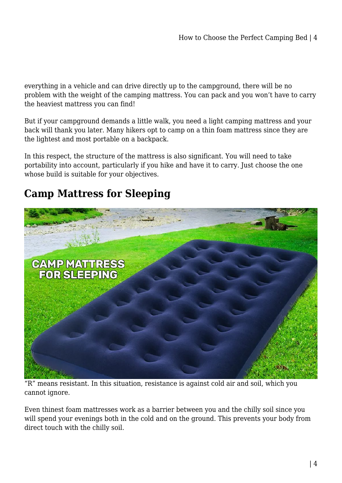everything in a vehicle and can drive directly up to the campground, there will be no problem with the weight of the camping mattress. You can pack and you won't have to carry the heaviest mattress you can find!

But if your campground demands a little walk, you need a light camping mattress and your back will thank you later. Many hikers opt to camp on a thin foam mattress since they are the lightest and most portable on a backpack.

In this respect, the structure of the mattress is also significant. You will need to take portability into account, particularly if you hike and have it to carry. Just choose the one whose build is suitable for your objectives.

## **Camp Mattress for Sleeping**



"R" means resistant. In this situation, resistance is against cold air and soil, which you cannot ignore.

Even thinest foam mattresses work as a barrier between you and the chilly soil since you will spend your evenings both in the cold and on the ground. This prevents your body from direct touch with the chilly soil.